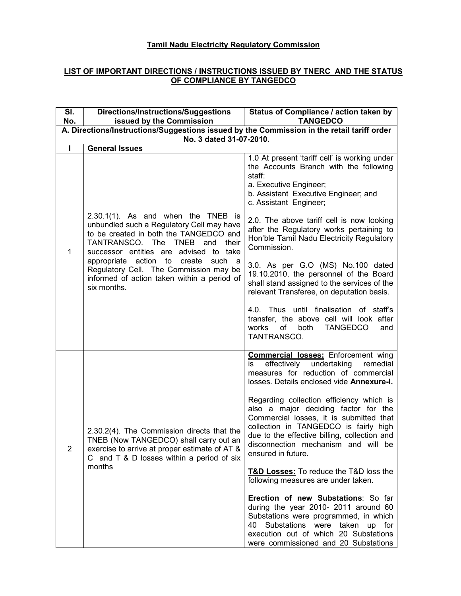### Tamil Nadu Electricity Regulatory Commission

### LIST OF IMPORTANT DIRECTIONS / INSTRUCTIONS ISSUED BY TNERC AND THE STATUS OF COMPLIANCE BY TANGEDCO

| SI.<br>No.                                                                                                            | <b>Directions/Instructions/Suggestions</b><br>issued by the Commission                                                                                                                                      | Status of Compliance / action taken by<br><b>TANGEDCO</b>                                                                                                                                                                                                                         |
|-----------------------------------------------------------------------------------------------------------------------|-------------------------------------------------------------------------------------------------------------------------------------------------------------------------------------------------------------|-----------------------------------------------------------------------------------------------------------------------------------------------------------------------------------------------------------------------------------------------------------------------------------|
| A. Directions/Instructions/Suggestions issued by the Commission in the retail tariff order<br>No. 3 dated 31-07-2010. |                                                                                                                                                                                                             |                                                                                                                                                                                                                                                                                   |
| т                                                                                                                     | <b>General Issues</b>                                                                                                                                                                                       |                                                                                                                                                                                                                                                                                   |
|                                                                                                                       |                                                                                                                                                                                                             | 1.0 At present 'tariff cell' is working under<br>the Accounts Branch with the following<br>staff:<br>a. Executive Engineer;<br>b. Assistant Executive Engineer; and<br>c. Assistant Engineer;                                                                                     |
| 1                                                                                                                     | $2.30.1(1)$ . As and when the TNEB is<br>unbundled such a Regulatory Cell may have<br>to be created in both the TANGEDCO and<br>TANTRANSCO. The TNEB<br>and their<br>successor entities are advised to take | 2.0. The above tariff cell is now looking<br>after the Regulatory works pertaining to<br>Hon'ble Tamil Nadu Electricity Regulatory<br>Commission.                                                                                                                                 |
|                                                                                                                       | appropriate action to<br>create<br>such<br>- a<br>Regulatory Cell. The Commission may be<br>informed of action taken within a period of<br>six months.                                                      | 3.0. As per G.O (MS) No.100 dated<br>19.10.2010, the personnel of the Board<br>shall stand assigned to the services of the<br>relevant Transferee, on deputation basis.                                                                                                           |
|                                                                                                                       |                                                                                                                                                                                                             | 4.0. Thus until finalisation of staff's<br>transfer, the above cell will look after<br>of<br><b>TANGEDCO</b><br>works<br>both<br>and<br>TANTRANSCO.                                                                                                                               |
| 2                                                                                                                     |                                                                                                                                                                                                             | <b>Commercial losses:</b> Enforcement wing<br>effectively<br>undertaking<br>remedial<br>is<br>measures for reduction of commercial<br>losses. Details enclosed vide Annexure-I.                                                                                                   |
|                                                                                                                       | 2.30.2(4). The Commission directs that the<br>TNEB (Now TANGEDCO) shall carry out an<br>exercise to arrive at proper estimate of AT &<br>C and T & D losses within a period of six                          | Regarding collection efficiency which is<br>also a major deciding factor for the<br>Commercial losses, it is submitted that<br>collection in TANGEDCO is fairly high<br>due to the effective billing, collection and<br>disconnection mechanism and will be<br>ensured in future. |
|                                                                                                                       | months                                                                                                                                                                                                      | <b>T&amp;D Losses:</b> To reduce the T&D loss the<br>following measures are under taken.                                                                                                                                                                                          |
|                                                                                                                       |                                                                                                                                                                                                             | Erection of new Substations: So far<br>during the year 2010- 2011 around 60<br>Substations were programmed, in which<br>Substations were taken up for<br>40<br>execution out of which 20 Substations<br>were commissioned and 20 Substations                                      |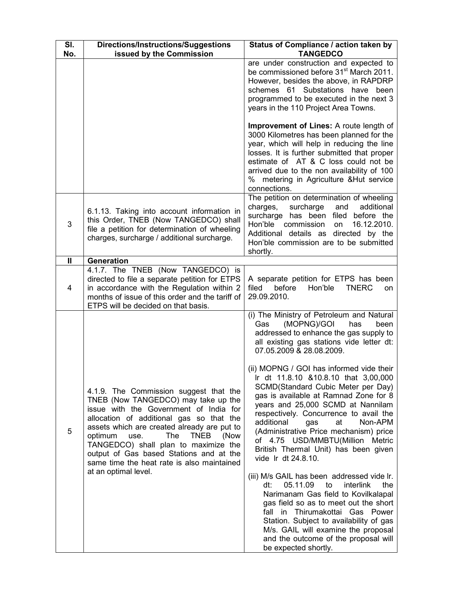| SI.<br>No.        | <b>Directions/Instructions/Suggestions</b><br>issued by the Commission                                                                                                                                                                                                                                                                                                                                                       | Status of Compliance / action taken by<br><b>TANGEDCO</b>                                                                                                                                                                                                                                                                                                                                                                                                                                                                                                                                                                                                                                                                                                                                                                                                                                                                                                                                               |
|-------------------|------------------------------------------------------------------------------------------------------------------------------------------------------------------------------------------------------------------------------------------------------------------------------------------------------------------------------------------------------------------------------------------------------------------------------|---------------------------------------------------------------------------------------------------------------------------------------------------------------------------------------------------------------------------------------------------------------------------------------------------------------------------------------------------------------------------------------------------------------------------------------------------------------------------------------------------------------------------------------------------------------------------------------------------------------------------------------------------------------------------------------------------------------------------------------------------------------------------------------------------------------------------------------------------------------------------------------------------------------------------------------------------------------------------------------------------------|
|                   |                                                                                                                                                                                                                                                                                                                                                                                                                              | are under construction and expected to<br>be commissioned before 31 <sup>st</sup> March 2011.<br>However, besides the above, in RAPDRP<br>schemes 61 Substations have been<br>programmed to be executed in the next 3<br>years in the 110 Project Area Towns.                                                                                                                                                                                                                                                                                                                                                                                                                                                                                                                                                                                                                                                                                                                                           |
|                   |                                                                                                                                                                                                                                                                                                                                                                                                                              | Improvement of Lines: A route length of<br>3000 Kilometres has been planned for the<br>year, which will help in reducing the line<br>losses. It is further submitted that proper<br>estimate of AT & C loss could not be<br>arrived due to the non availability of 100<br>% metering in Agriculture & Hut service<br>connections.                                                                                                                                                                                                                                                                                                                                                                                                                                                                                                                                                                                                                                                                       |
| 3                 | 6.1.13. Taking into account information in<br>this Order, TNEB (Now TANGEDCO) shall<br>file a petition for determination of wheeling<br>charges, surcharge / additional surcharge.                                                                                                                                                                                                                                           | The petition on determination of wheeling<br>charges,<br>surcharge<br>additional<br>and<br>surcharge has been filed before the<br>Hon'ble<br>16.12.2010.<br>commission<br>on<br>Additional details as directed by the<br>Hon'ble commission are to be submitted<br>shortly.                                                                                                                                                                                                                                                                                                                                                                                                                                                                                                                                                                                                                                                                                                                             |
| $\mathbf{I}$<br>4 | Generation<br>4.1.7. The TNEB (Now TANGEDCO) is<br>directed to file a separate petition for ETPS<br>in accordance with the Regulation within 2<br>months of issue of this order and the tariff of<br>ETPS will be decided on that basis.                                                                                                                                                                                     | A separate petition for ETPS has been<br>before<br>filed<br>Hon'ble<br><b>TNERC</b><br>on<br>29.09.2010.                                                                                                                                                                                                                                                                                                                                                                                                                                                                                                                                                                                                                                                                                                                                                                                                                                                                                                |
| 5                 | 4.1.9. The Commission suggest that the<br>TNEB (Now TANGEDCO) may take up the<br>issue with the Government of India for<br>allocation of additional gas so that the<br>assets which are created already are put to<br><b>TNEB</b><br>optimum<br>The<br>use.<br>(Now<br>TANGEDCO) shall plan to maximize the<br>output of Gas based Stations and at the<br>same time the heat rate is also maintained<br>at an optimal level. | (i) The Ministry of Petroleum and Natural<br>(MOPNG)/GOI<br>Gas<br>has<br>been<br>addressed to enhance the gas supply to<br>all existing gas stations vide letter dt:<br>07.05.2009 & 28.08.2009.<br>(ii) MOPNG / GOI has informed vide their<br>Ir dt 11.8.10 & 10.8.10 that 3,00,000<br>SCMD(Standard Cubic Meter per Day)<br>gas is available at Ramnad Zone for 8<br>years and 25,000 SCMD at Nannilam<br>respectively. Concurrence to avail the<br>additional<br>gas<br>at<br>Non-APM<br>(Administrative Price mechanism) price<br>of 4.75 USD/MMBTU(Million Metric<br>British Thermal Unit) has been given<br>vide Ir dt 24.8.10.<br>(iii) M/s GAIL has been addressed vide Ir.<br>dt:<br>05.11.09<br>to<br>interlink<br>the<br>Narimanam Gas field to Kovilkalapal<br>gas field so as to meet out the short<br>fall in Thirumakottai Gas Power<br>Station. Subject to availability of gas<br>M/s. GAIL will examine the proposal<br>and the outcome of the proposal will<br>be expected shortly. |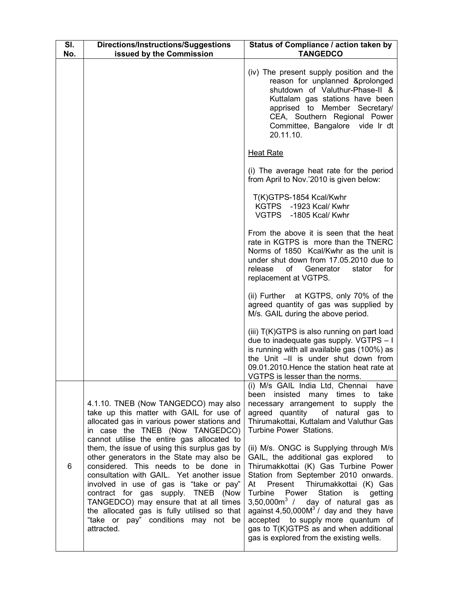| SI.<br>No. | <b>Directions/Instructions/Suggestions</b><br>issued by the Commission                                                                                                                                                                                                                                                                                                                                                                                                                                                                                                                                                            | Status of Compliance / action taken by<br><b>TANGEDCO</b>                                                                                                                                                                                                                                                                                                                                                                                                                                                                                                                                                                                                                                                    |
|------------|-----------------------------------------------------------------------------------------------------------------------------------------------------------------------------------------------------------------------------------------------------------------------------------------------------------------------------------------------------------------------------------------------------------------------------------------------------------------------------------------------------------------------------------------------------------------------------------------------------------------------------------|--------------------------------------------------------------------------------------------------------------------------------------------------------------------------------------------------------------------------------------------------------------------------------------------------------------------------------------------------------------------------------------------------------------------------------------------------------------------------------------------------------------------------------------------------------------------------------------------------------------------------------------------------------------------------------------------------------------|
|            |                                                                                                                                                                                                                                                                                                                                                                                                                                                                                                                                                                                                                                   | (iv) The present supply position and the<br>reason for unplanned &prolonged<br>shutdown of Valuthur-Phase-II &<br>Kuttalam gas stations have been<br>apprised to Member Secretary/<br>CEA, Southern Regional Power<br>Committee, Bangalore vide Ir dt<br>20.11.10.                                                                                                                                                                                                                                                                                                                                                                                                                                           |
|            |                                                                                                                                                                                                                                                                                                                                                                                                                                                                                                                                                                                                                                   | <b>Heat Rate</b>                                                                                                                                                                                                                                                                                                                                                                                                                                                                                                                                                                                                                                                                                             |
|            |                                                                                                                                                                                                                                                                                                                                                                                                                                                                                                                                                                                                                                   | (i) The average heat rate for the period<br>from April to Nov.'2010 is given below:                                                                                                                                                                                                                                                                                                                                                                                                                                                                                                                                                                                                                          |
|            |                                                                                                                                                                                                                                                                                                                                                                                                                                                                                                                                                                                                                                   | T(K)GTPS-1854 Kcal/Kwhr<br>KGTPS -1923 Kcal/ Kwhr<br>VGTPS -1805 Kcal/ Kwhr                                                                                                                                                                                                                                                                                                                                                                                                                                                                                                                                                                                                                                  |
|            |                                                                                                                                                                                                                                                                                                                                                                                                                                                                                                                                                                                                                                   | From the above it is seen that the heat<br>rate in KGTPS is more than the TNERC<br>Norms of 1850 Kcal/Kwhr as the unit is<br>under shut down from 17.05.2010 due to<br>Generator<br>for<br>release<br>of<br>stator<br>replacement at VGTPS.                                                                                                                                                                                                                                                                                                                                                                                                                                                                  |
|            |                                                                                                                                                                                                                                                                                                                                                                                                                                                                                                                                                                                                                                   | (ii) Further at KGTPS, only 70% of the<br>agreed quantity of gas was supplied by<br>M/s. GAIL during the above period.                                                                                                                                                                                                                                                                                                                                                                                                                                                                                                                                                                                       |
|            |                                                                                                                                                                                                                                                                                                                                                                                                                                                                                                                                                                                                                                   | (iii) T(K)GTPS is also running on part load<br>due to inadequate gas supply. VGTPS - I<br>is running with all available gas (100%) as<br>the Unit -II is under shut down from<br>09.01.2010. Hence the station heat rate at<br>VGTPS is lesser than the norms.                                                                                                                                                                                                                                                                                                                                                                                                                                               |
| 6          | 4.1.10. TNEB (Now TANGEDCO) may also<br>take up this matter with GAIL for use of<br>allocated gas in various power stations and<br>in case the TNEB (Now TANGEDCO)<br>cannot utilise the entire gas allocated to<br>them, the issue of using this surplus gas by<br>other generators in the State may also be<br>considered. This needs to be done in<br>consultation with GAIL. Yet another issue<br>involved in use of gas is "take or pay"<br>contract for gas supply. TNEB (Now<br>TANGEDCO) may ensure that at all times<br>the allocated gas is fully utilised so that<br>"take or pay" conditions may not be<br>attracted. | (i) M/s GAIL India Ltd, Chennai<br>have<br>been insisted many times to take<br>necessary arrangement to supply the<br>agreed quantity of natural gas to<br>Thirumakottai, Kuttalam and Valuthur Gas<br>Turbine Power Stations.<br>(ii) M/s. ONGC is Supplying through M/s<br>GAIL, the additional gas explored<br>to<br>Thirumakkottai (K) Gas Turbine Power<br>Station from September 2010 onwards.<br>Present Thirumakkottai (K) Gas<br>At<br>Station<br>Turbine<br>Power<br>getting<br>is<br>$3,50,000m3$ / day of natural gas as<br>against $4,50,000M3$ / day and they have<br>accepted to supply more quantum of<br>gas to T(K)GTPS as and when additional<br>gas is explored from the existing wells. |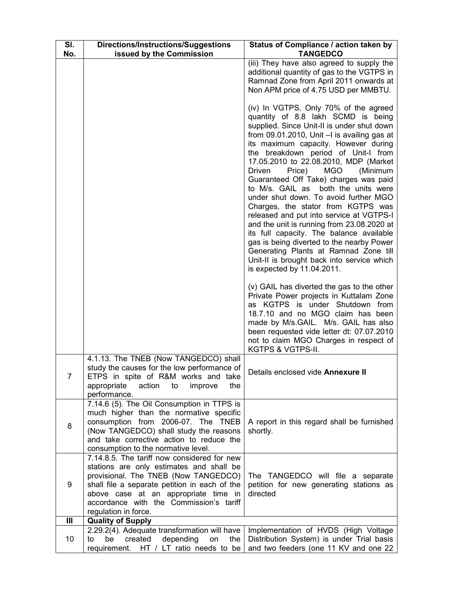| SI.<br>No. | <b>Directions/Instructions/Suggestions</b><br>issued by the Commission                                                                                                                                                                                                                      | Status of Compliance / action taken by<br><b>TANGEDCO</b>                                                                                                                                                                                                                                                                                                                                                                                                                                                                                                                                                                                                                                                                                                                                                                 |
|------------|---------------------------------------------------------------------------------------------------------------------------------------------------------------------------------------------------------------------------------------------------------------------------------------------|---------------------------------------------------------------------------------------------------------------------------------------------------------------------------------------------------------------------------------------------------------------------------------------------------------------------------------------------------------------------------------------------------------------------------------------------------------------------------------------------------------------------------------------------------------------------------------------------------------------------------------------------------------------------------------------------------------------------------------------------------------------------------------------------------------------------------|
|            |                                                                                                                                                                                                                                                                                             | (iii) They have also agreed to supply the<br>additional quantity of gas to the VGTPS in<br>Ramnad Zone from April 2011 onwards at<br>Non APM price of 4.75 USD per MMBTU.                                                                                                                                                                                                                                                                                                                                                                                                                                                                                                                                                                                                                                                 |
|            |                                                                                                                                                                                                                                                                                             | (iv) In VGTPS, Only 70% of the agreed<br>quantity of 8.8 lakh SCMD is being<br>supplied. Since Unit-II is under shut down<br>from 09.01.2010, Unit - I is availing gas at<br>its maximum capacity. However during<br>the breakdown period of Unit-I from<br>17.05.2010 to 22.08.2010, MDP (Market<br>Driven<br><b>MGO</b><br>Price)<br>(Minimum<br>Guaranteed Off Take) charges was paid<br>to M/s. GAIL as<br>both the units were<br>under shut down. To avoid further MGO<br>Charges, the stator from KGTPS was<br>released and put into service at VGTPS-I<br>and the unit is running from 23.08.2020 at<br>its full capacity. The balance available<br>gas is being diverted to the nearby Power<br>Generating Plants at Ramnad Zone till<br>Unit-II is brought back into service which<br>is expected by 11.04.2011. |
|            |                                                                                                                                                                                                                                                                                             | (v) GAIL has diverted the gas to the other<br>Private Power projects in Kuttalam Zone<br>as KGTPS is under Shutdown from<br>18.7.10 and no MGO claim has been<br>made by M/s.GAIL. M/s. GAIL has also<br>been requested vide letter dt: 07.07.2010<br>not to claim MGO Charges in respect of<br>KGTPS & VGTPS-II.                                                                                                                                                                                                                                                                                                                                                                                                                                                                                                         |
| 7          | 4.1.13. The TNEB (Now TANGEDCO) shall<br>study the causes for the low performance of<br>ETPS in spite of R&M works and take<br>action to<br>appropriate<br>improve<br>the<br>performance.                                                                                                   | Details enclosed vide Annexure II                                                                                                                                                                                                                                                                                                                                                                                                                                                                                                                                                                                                                                                                                                                                                                                         |
| 8          | 7.14.6 (5). The Oil Consumption in TTPS is<br>much higher than the normative specific<br>consumption from 2006-07. The TNEB<br>(Now TANGEDCO) shall study the reasons<br>and take corrective action to reduce the<br>consumption to the normative level.                                    | A report in this regard shall be furnished<br>shortly.                                                                                                                                                                                                                                                                                                                                                                                                                                                                                                                                                                                                                                                                                                                                                                    |
| 9          | 7.14.8.5. The tariff now considered for new<br>stations are only estimates and shall be<br>provisional. The TNEB (Now TANGEDCO)<br>shall file a separate petition in each of the<br>above case at an appropriate time in<br>accordance with the Commission's tariff<br>regulation in force. | The TANGEDCO will file a separate<br>petition for new generating stations as<br>directed                                                                                                                                                                                                                                                                                                                                                                                                                                                                                                                                                                                                                                                                                                                                  |
| Ш          | <b>Quality of Supply</b>                                                                                                                                                                                                                                                                    |                                                                                                                                                                                                                                                                                                                                                                                                                                                                                                                                                                                                                                                                                                                                                                                                                           |
| 10         | 2.29.2(4). Adequate transformation will have<br>depending<br>be<br>created<br>on<br>the<br>to<br>HT / LT ratio needs to be<br>requirement.                                                                                                                                                  | Implementation of HVDS (High Voltage<br>Distribution System) is under Trial basis<br>and two feeders (one 11 KV and one 22                                                                                                                                                                                                                                                                                                                                                                                                                                                                                                                                                                                                                                                                                                |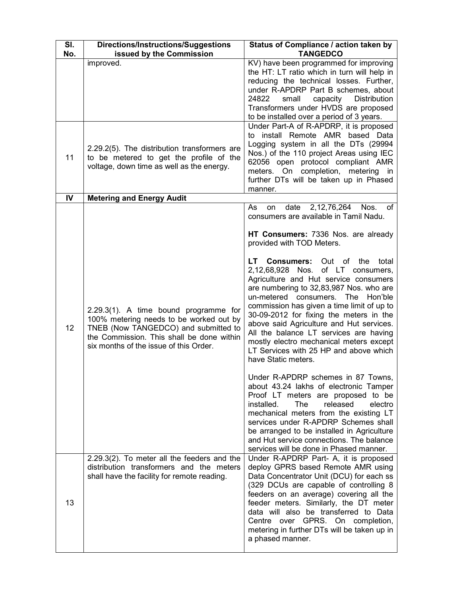| SI.<br>No. | Directions/Instructions/Suggestions<br>issued by the Commission                                                                                                                                                 | Status of Compliance / action taken by<br><b>TANGEDCO</b>                                                                                                                                                                                                                                                                                                                                                                                                                                                                                                                                                                                                                                                                                                            |
|------------|-----------------------------------------------------------------------------------------------------------------------------------------------------------------------------------------------------------------|----------------------------------------------------------------------------------------------------------------------------------------------------------------------------------------------------------------------------------------------------------------------------------------------------------------------------------------------------------------------------------------------------------------------------------------------------------------------------------------------------------------------------------------------------------------------------------------------------------------------------------------------------------------------------------------------------------------------------------------------------------------------|
|            | improved.                                                                                                                                                                                                       | KV) have been programmed for improving<br>the HT: LT ratio which in turn will help in<br>reducing the technical losses. Further,<br>under R-APDRP Part B schemes, about<br>24822<br>small<br>capacity<br>Distribution<br>Transformers under HVDS are proposed<br>to be installed over a period of 3 years.                                                                                                                                                                                                                                                                                                                                                                                                                                                           |
| 11         | 2.29.2(5). The distribution transformers are<br>to be metered to get the profile of the<br>voltage, down time as well as the energy.                                                                            | Under Part-A of R-APDRP, it is proposed<br>to install Remote AMR based Data<br>Logging system in all the DTs (29994<br>Nos.) of the 110 project Areas using IEC<br>62056 open protocol compliant AMR<br>meters. On completion, metering in<br>further DTs will be taken up in Phased<br>manner.                                                                                                                                                                                                                                                                                                                                                                                                                                                                      |
| IV         | <b>Metering and Energy Audit</b>                                                                                                                                                                                | Nos.<br>οf                                                                                                                                                                                                                                                                                                                                                                                                                                                                                                                                                                                                                                                                                                                                                           |
| 12         | 2.29.3(1). A time bound programme for<br>100% metering needs to be worked out by<br>TNEB (Now TANGEDCO) and submitted to<br>the Commission. This shall be done within<br>six months of the issue of this Order. | 2, 12, 76, 264<br>date<br>As<br>on<br>consumers are available in Tamil Nadu.<br>HT Consumers: 7336 Nos. are already<br>provided with TOD Meters.<br>LT Consumers: Out of the<br>total<br>2,12,68,928 Nos. of LT consumers,<br>Agriculture and Hut service consumers<br>are numbering to 32,83,987 Nos. who are<br>un-metered consumers. The Hon'ble<br>commission has given a time limit of up to<br>30-09-2012 for fixing the meters in the<br>above said Agriculture and Hut services.<br>All the balance LT services are having<br>mostly electro mechanical meters except<br>LT Services with 25 HP and above which<br>have Static meters.<br>Under R-APDRP schemes in 87 Towns,<br>about 43.24 lakhs of electronic Tamper<br>Proof LT meters are proposed to be |
|            |                                                                                                                                                                                                                 | released<br>installed.<br><b>The</b><br>electro<br>mechanical meters from the existing LT<br>services under R-APDRP Schemes shall<br>be arranged to be installed in Agriculture<br>and Hut service connections. The balance<br>services will be done in Phased manner.                                                                                                                                                                                                                                                                                                                                                                                                                                                                                               |
| 13         | 2.29.3(2). To meter all the feeders and the<br>distribution transformers and the meters<br>shall have the facility for remote reading.                                                                          | Under R-APDRP Part- A, it is proposed<br>deploy GPRS based Remote AMR using<br>Data Concentrator Unit (DCU) for each ss<br>(329 DCUs are capable of controlling 8<br>feeders on an average) covering all the<br>feeder meters. Similarly, the DT meter<br>data will also be transferred to Data<br>Centre over GPRS. On completion,<br>metering in further DTs will be taken up in<br>a phased manner.                                                                                                                                                                                                                                                                                                                                                               |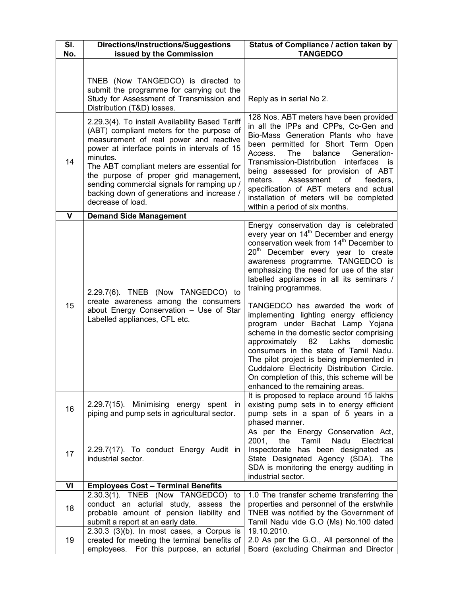| SI.<br>No.  | <b>Directions/Instructions/Suggestions</b><br>issued by the Commission                                                                                                                                                                                                                                                                                                                                       | Status of Compliance / action taken by<br><b>TANGEDCO</b>                                                                                                                                                                                                                                                                                                                                                                                                       |  |
|-------------|--------------------------------------------------------------------------------------------------------------------------------------------------------------------------------------------------------------------------------------------------------------------------------------------------------------------------------------------------------------------------------------------------------------|-----------------------------------------------------------------------------------------------------------------------------------------------------------------------------------------------------------------------------------------------------------------------------------------------------------------------------------------------------------------------------------------------------------------------------------------------------------------|--|
|             | TNEB (Now TANGEDCO) is directed to<br>submit the programme for carrying out the<br>Study for Assessment of Transmission and<br>Distribution (T&D) losses.                                                                                                                                                                                                                                                    | Reply as in serial No 2.                                                                                                                                                                                                                                                                                                                                                                                                                                        |  |
| 14          | 2.29.3(4). To install Availability Based Tariff<br>(ABT) compliant meters for the purpose of<br>measurement of real power and reactive<br>power at interface points in intervals of 15<br>minutes.<br>The ABT compliant meters are essential for<br>the purpose of proper grid management,<br>sending commercial signals for ramping up /<br>backing down of generations and increase /<br>decrease of load. | 128 Nos. ABT meters have been provided<br>in all the IPPs and CPPs, Co-Gen and<br>Bio-Mass Generation Plants who have<br>been permitted for Short Term Open<br>balance<br>Access.<br>The<br>Generation-<br>Transmission-Distribution<br>interfaces is<br>being assessed for provision of ABT<br>meters.<br>Assessment<br>of<br>feeders,<br>specification of ABT meters and actual<br>installation of meters will be completed<br>within a period of six months. |  |
| $\mathbf v$ | <b>Demand Side Management</b>                                                                                                                                                                                                                                                                                                                                                                                |                                                                                                                                                                                                                                                                                                                                                                                                                                                                 |  |
| 15          | 2.29.7(6). TNEB (Now TANGEDCO) to<br>create awareness among the consumers<br>about Energy Conservation - Use of Star<br>Labelled appliances, CFL etc.                                                                                                                                                                                                                                                        | Energy conservation day is celebrated<br>every year on 14 <sup>th</sup> December and energy<br>conservation week from 14 <sup>th</sup> December to<br>20 <sup>th</sup> December every year to create<br>awareness programme. TANGEDCO is<br>emphasizing the need for use of the star<br>labelled appliances in all its seminars /<br>training programmes.<br>TANGEDCO has awarded the work of<br>implementing lighting energy efficiency                        |  |
|             |                                                                                                                                                                                                                                                                                                                                                                                                              | program under Bachat Lamp Yojana<br>scheme in the domestic sector comprising<br>Lakhs<br>approximately<br>82<br>domestic<br>consumers in the state of Tamil Nadu.<br>The pilot project is being implemented in<br>Cuddalore Electricity Distribution Circle.<br>On completion of this, this scheme will be<br>enhanced to the remaining areas.                                                                                                                  |  |
| 16          | 2.29.7(15). Minimising energy spent in<br>piping and pump sets in agricultural sector.                                                                                                                                                                                                                                                                                                                       | It is proposed to replace around 15 lakhs<br>existing pump sets in to energy efficient<br>pump sets in a span of 5 years in a<br>phased manner.                                                                                                                                                                                                                                                                                                                 |  |
| 17          | 2.29.7(17). To conduct Energy Audit in<br>industrial sector.                                                                                                                                                                                                                                                                                                                                                 | As per the Energy Conservation Act,<br>2001.<br>the<br>Nadu<br>Tamil<br>Electrical<br>Inspectorate has been designated as<br>State Designated Agency (SDA). The<br>SDA is monitoring the energy auditing in<br>industrial sector.                                                                                                                                                                                                                               |  |
| VI          | <b>Employees Cost - Terminal Benefits</b>                                                                                                                                                                                                                                                                                                                                                                    |                                                                                                                                                                                                                                                                                                                                                                                                                                                                 |  |
| 18          | 2.30.3(1). TNEB (Now TANGEDCO) to<br>conduct an acturial study, assess the<br>probable amount of pension liability and<br>submit a report at an early date.<br>$2.30.3$ (3)(b). In most cases, a Corpus is                                                                                                                                                                                                   | 1.0 The transfer scheme transferring the<br>properties and personnel of the erstwhile<br>TNEB was notified by the Government of<br>Tamil Nadu vide G.O (Ms) No.100 dated<br>19.10.2010.                                                                                                                                                                                                                                                                         |  |
| 19          | created for meeting the terminal benefits of<br>employees.<br>For this purpose, an acturial                                                                                                                                                                                                                                                                                                                  | 2.0 As per the G.O., All personnel of the<br>Board (excluding Chairman and Director                                                                                                                                                                                                                                                                                                                                                                             |  |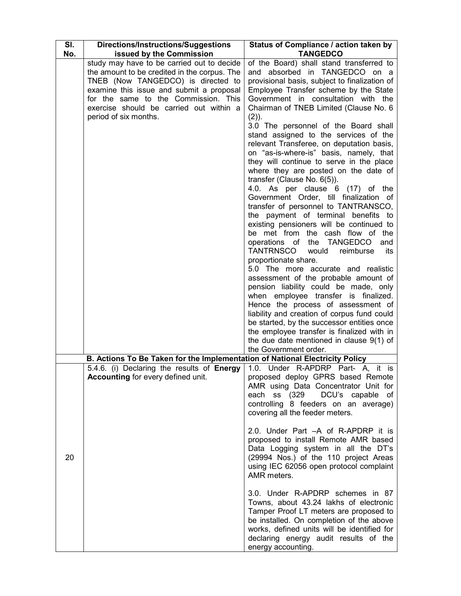| SI. | Directions/Instructions/Suggestions                                          | Status of Compliance / action taken by                             |  |
|-----|------------------------------------------------------------------------------|--------------------------------------------------------------------|--|
| No. | issued by the Commission                                                     | <b>TANGEDCO</b>                                                    |  |
|     | study may have to be carried out to decide                                   | of the Board) shall stand transferred to                           |  |
|     | the amount to be credited in the corpus. The                                 | and absorbed in TANGEDCO on a                                      |  |
|     | TNEB (Now TANGEDCO) is directed to                                           | provisional basis, subject to finalization of                      |  |
|     | examine this issue and submit a proposal                                     | Employee Transfer scheme by the State                              |  |
|     | for the same to the Commission. This                                         | Government in consultation with the                                |  |
|     | exercise should be carried out within a                                      | Chairman of TNEB Limited (Clause No. 6                             |  |
|     | period of six months.                                                        | $(2)$ ).                                                           |  |
|     |                                                                              | 3.0 The personnel of the Board shall                               |  |
|     |                                                                              | stand assigned to the services of the                              |  |
|     |                                                                              | relevant Transferee, on deputation basis,                          |  |
|     |                                                                              | on "as-is-where-is" basis, namely, that                            |  |
|     |                                                                              | they will continue to serve in the place                           |  |
|     |                                                                              | where they are posted on the date of                               |  |
|     |                                                                              | transfer (Clause No. $6(5)$ ).<br>4.0. As per clause 6 (17) of the |  |
|     |                                                                              | Government Order, till finalization of                             |  |
|     |                                                                              | transfer of personnel to TANTRANSCO,                               |  |
|     |                                                                              | the payment of terminal benefits to                                |  |
|     |                                                                              | existing pensioners will be continued to                           |  |
|     |                                                                              | be met from the cash flow of the                                   |  |
|     |                                                                              | operations of the TANGEDCO<br>and                                  |  |
|     |                                                                              | TANTRNSCO<br>would<br>reimburse<br>its                             |  |
|     |                                                                              | proportionate share.                                               |  |
|     |                                                                              | 5.0 The more accurate and realistic                                |  |
|     |                                                                              | assessment of the probable amount of                               |  |
|     |                                                                              | pension liability could be made, only                              |  |
|     |                                                                              | when employee transfer is finalized.                               |  |
|     |                                                                              | Hence the process of assessment of                                 |  |
|     |                                                                              | liability and creation of corpus fund could                        |  |
|     |                                                                              | be started, by the successor entities once                         |  |
|     |                                                                              | the employee transfer is finalized with in                         |  |
|     |                                                                              | the due date mentioned in clause $9(1)$ of                         |  |
|     |                                                                              | the Government order.                                              |  |
|     | B. Actions To Be Taken for the Implementation of National Electricity Policy |                                                                    |  |
|     | 5.4.6. (i) Declaring the results of Energy                                   | 1.0. Under R-APDRP Part- A, it is                                  |  |
|     | <b>Accounting for every defined unit.</b>                                    | proposed deploy GPRS based Remote                                  |  |
|     |                                                                              | AMR using Data Concentrator Unit for                               |  |
|     |                                                                              | each ss (329<br>DCU's capable of                                   |  |
|     |                                                                              | controlling 8 feeders on an average)                               |  |
|     |                                                                              | covering all the feeder meters.                                    |  |
|     |                                                                              |                                                                    |  |
|     |                                                                              | 2.0. Under Part -A of R-APDRP it is                                |  |
|     |                                                                              | proposed to install Remote AMR based                               |  |
|     |                                                                              | Data Logging system in all the DT's                                |  |
| 20  |                                                                              | (29994 Nos.) of the 110 project Areas                              |  |
|     |                                                                              | using IEC 62056 open protocol complaint                            |  |
|     |                                                                              | AMR meters.                                                        |  |
|     |                                                                              | 3.0. Under R-APDRP schemes in 87                                   |  |
|     |                                                                              | Towns, about 43.24 lakhs of electronic                             |  |
|     |                                                                              | Tamper Proof LT meters are proposed to                             |  |
|     |                                                                              | be installed. On completion of the above                           |  |
|     |                                                                              | works, defined units will be identified for                        |  |
|     |                                                                              | declaring energy audit results of the                              |  |
|     |                                                                              | energy accounting.                                                 |  |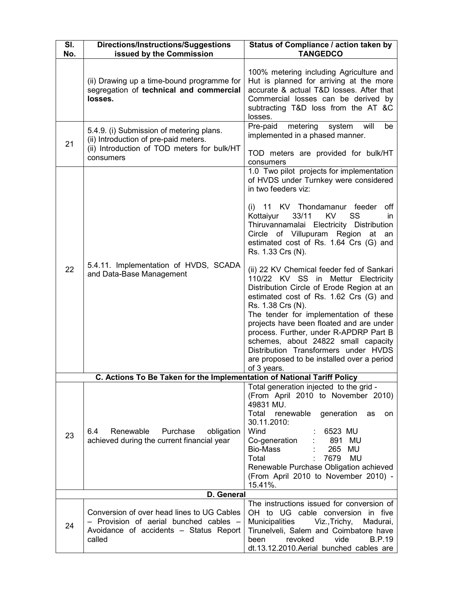| SI. | <b>Directions/Instructions/Suggestions</b>                                                                                                    | Status of Compliance / action taken by                                                                                                                                                                                                                                                                                                                                                                                                                                                                                                                                                                                                                                                                                                                                                                                               |  |
|-----|-----------------------------------------------------------------------------------------------------------------------------------------------|--------------------------------------------------------------------------------------------------------------------------------------------------------------------------------------------------------------------------------------------------------------------------------------------------------------------------------------------------------------------------------------------------------------------------------------------------------------------------------------------------------------------------------------------------------------------------------------------------------------------------------------------------------------------------------------------------------------------------------------------------------------------------------------------------------------------------------------|--|
| No. | issued by the Commission                                                                                                                      | <b>TANGEDCO</b>                                                                                                                                                                                                                                                                                                                                                                                                                                                                                                                                                                                                                                                                                                                                                                                                                      |  |
|     | (ii) Drawing up a time-bound programme for<br>segregation of technical and commercial<br>losses.                                              | 100% metering including Agriculture and<br>Hut is planned for arriving at the more<br>accurate & actual T&D losses. After that<br>Commercial losses can be derived by<br>subtracting T&D loss from the AT &C<br>losses.                                                                                                                                                                                                                                                                                                                                                                                                                                                                                                                                                                                                              |  |
| 21  | 5.4.9. (i) Submission of metering plans.<br>(ii) Introduction of pre-paid meters.<br>(ii) Introduction of TOD meters for bulk/HT<br>consumers | metering<br>Pre-paid<br>system<br>will<br>be<br>implemented in a phased manner.<br>TOD meters are provided for bulk/HT                                                                                                                                                                                                                                                                                                                                                                                                                                                                                                                                                                                                                                                                                                               |  |
| 22  | 5.4.11. Implementation of HVDS, SCADA<br>and Data-Base Management                                                                             | consumers<br>1.0 Two pilot projects for implementation<br>of HVDS under Turnkey were considered<br>in two feeders viz:<br>(i) 11 KV Thondamanur feeder<br>off<br>Kottaiyur<br>33/11<br>KV<br>SS<br>in.<br>Thiruvannamalai Electricity Distribution<br>Circle of Villupuram Region at<br>an<br>estimated cost of Rs. 1.64 Crs (G) and<br>Rs. 1.33 Crs (N).<br>(ii) 22 KV Chemical feeder fed of Sankari<br>110/22 KV SS in Mettur Electricity<br>Distribution Circle of Erode Region at an<br>estimated cost of Rs. 1.62 Crs (G) and<br>Rs. 1.38 Crs (N).<br>The tender for implementation of these<br>projects have been floated and are under<br>process. Further, under R-APDRP Part B<br>schemes, about 24822 small capacity<br>Distribution Transformers under HVDS<br>are proposed to be installed over a period<br>of 3 years. |  |
|     | C. Actions To Be Taken for the Implementation of National Tariff Policy                                                                       |                                                                                                                                                                                                                                                                                                                                                                                                                                                                                                                                                                                                                                                                                                                                                                                                                                      |  |
| 23  | Purchase<br>6.4<br>Renewable<br>obligation<br>achieved during the current financial year                                                      | Total generation injected to the grid -<br>(From April 2010 to November 2010)<br>49831 MU.<br>Total renewable<br>generation<br>as<br>on.<br>30.11.2010:<br>Wind<br>6523 MU<br>Co-generation<br>891 MU<br>265 MU<br>Bio-Mass<br>Total<br>7679<br>MU<br>Renewable Purchase Obligation achieved<br>(From April 2010 to November 2010) -<br>15.41%.                                                                                                                                                                                                                                                                                                                                                                                                                                                                                      |  |
|     | D. General                                                                                                                                    |                                                                                                                                                                                                                                                                                                                                                                                                                                                                                                                                                                                                                                                                                                                                                                                                                                      |  |
| 24  | Conversion of over head lines to UG Cables<br>- Provision of aerial bunched cables -<br>Avoidance of accidents - Status Report<br>called      | The instructions issued for conversion of<br>OH to UG cable conversion in five<br>Municipalities<br>Viz.,Trichy,<br>Madurai,<br>Tirunelveli, Salem and Coimbatore have<br>vide<br><b>B.P.19</b><br>revoked<br>been<br>dt.13.12.2010.Aerial bunched cables are                                                                                                                                                                                                                                                                                                                                                                                                                                                                                                                                                                        |  |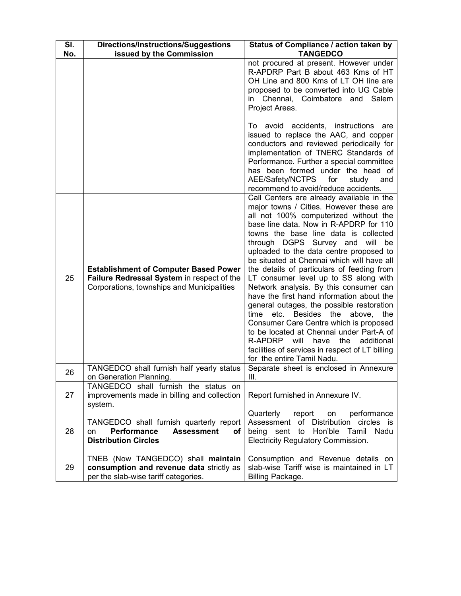| SI. | Directions/Instructions/Suggestions                                                                                                      | Status of Compliance / action taken by                                                                                                                                                                                                                                                                                                                                                                                                                                                                                                                                                                                                                                                                                                                                                                                          |
|-----|------------------------------------------------------------------------------------------------------------------------------------------|---------------------------------------------------------------------------------------------------------------------------------------------------------------------------------------------------------------------------------------------------------------------------------------------------------------------------------------------------------------------------------------------------------------------------------------------------------------------------------------------------------------------------------------------------------------------------------------------------------------------------------------------------------------------------------------------------------------------------------------------------------------------------------------------------------------------------------|
| No. | issued by the Commission                                                                                                                 | <b>TANGEDCO</b><br>not procured at present. However under<br>R-APDRP Part B about 463 Kms of HT<br>OH Line and 800 Kms of LT OH line are<br>proposed to be converted into UG Cable<br>in Chennai, Coimbatore and Salem<br>Project Areas.<br>To avoid accidents, instructions are                                                                                                                                                                                                                                                                                                                                                                                                                                                                                                                                                |
|     |                                                                                                                                          | issued to replace the AAC, and copper<br>conductors and reviewed periodically for<br>implementation of TNERC Standards of<br>Performance. Further a special committee<br>has been formed under the head of<br>AEE/Safety/NCTPS<br>for<br>study<br>and<br>recommend to avoid/reduce accidents.                                                                                                                                                                                                                                                                                                                                                                                                                                                                                                                                   |
| 25  | <b>Establishment of Computer Based Power</b><br>Failure Redressal System in respect of the<br>Corporations, townships and Municipalities | Call Centers are already available in the<br>major towns / Cities. However these are<br>all not 100% computerized without the<br>base line data. Now in R-APDRP for 110<br>towns the base line data is collected<br>through DGPS Survey and<br>will<br>be<br>uploaded to the data centre proposed to<br>be situated at Chennai which will have all<br>the details of particulars of feeding from<br>LT consumer level up to SS along with<br>Network analysis. By this consumer can<br>have the first hand information about the<br>general outages, the possible restoration<br>time etc. Besides the above, the<br>Consumer Care Centre which is proposed<br>to be located at Chennai under Part-A of<br>R-APDRP will<br>have the additional<br>facilities of services in respect of LT billing<br>for the entire Tamil Nadu. |
| 26  | TANGEDCO shall furnish half yearly status<br>on Generation Planning.                                                                     | Separate sheet is enclosed in Annexure<br>Ш.                                                                                                                                                                                                                                                                                                                                                                                                                                                                                                                                                                                                                                                                                                                                                                                    |
| 27  | TANGEDCO shall furnish the status on<br>improvements made in billing and collection<br>system.                                           | Report furnished in Annexure IV.                                                                                                                                                                                                                                                                                                                                                                                                                                                                                                                                                                                                                                                                                                                                                                                                |
| 28  | TANGEDCO shall furnish quarterly report<br><b>Performance</b><br><b>Assessment</b><br>on<br>οf<br><b>Distribution Circles</b>            | Quarterly<br>performance<br>report<br>on<br>Assessment of Distribution<br>circles is<br>being sent to Hon'ble Tamil<br>Nadu<br><b>Electricity Regulatory Commission.</b>                                                                                                                                                                                                                                                                                                                                                                                                                                                                                                                                                                                                                                                        |
| 29  | TNEB (Now TANGEDCO) shall maintain<br>consumption and revenue data strictly as<br>per the slab-wise tariff categories.                   | Consumption and Revenue details on<br>slab-wise Tariff wise is maintained in LT<br>Billing Package.                                                                                                                                                                                                                                                                                                                                                                                                                                                                                                                                                                                                                                                                                                                             |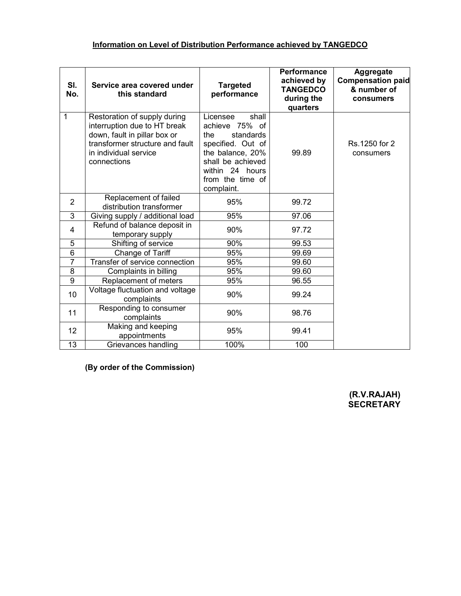| SI.<br>No.     | Service area covered under<br>this standard                                                                                                                             | <b>Targeted</b><br>performance                                                                                                                                             | <b>Performance</b><br>achieved by<br><b>TANGEDCO</b><br>during the<br>quarters | <b>Aggregate</b><br><b>Compensation paid</b><br>& number of<br>consumers |
|----------------|-------------------------------------------------------------------------------------------------------------------------------------------------------------------------|----------------------------------------------------------------------------------------------------------------------------------------------------------------------------|--------------------------------------------------------------------------------|--------------------------------------------------------------------------|
| 1              | Restoration of supply during<br>interruption due to HT break<br>down, fault in pillar box or<br>transformer structure and fault<br>in individual service<br>connections | Licensee<br>shall<br>achieve 75% of<br>the<br>standards<br>specified. Out of<br>the balance, 20%<br>shall be achieved<br>within 24 hours<br>from the time of<br>complaint. | 99.89                                                                          | Rs.1250 for 2<br>consumers                                               |
| $\overline{2}$ | Replacement of failed<br>distribution transformer                                                                                                                       | 95%                                                                                                                                                                        | 99.72                                                                          |                                                                          |
| 3              | Giving supply / additional load                                                                                                                                         | 95%                                                                                                                                                                        | 97.06                                                                          |                                                                          |
| 4              | Refund of balance deposit in<br>temporary supply                                                                                                                        | 90%                                                                                                                                                                        | 97.72                                                                          |                                                                          |
| 5              | Shifting of service                                                                                                                                                     | 90%                                                                                                                                                                        | 99.53                                                                          |                                                                          |
| 6              | Change of Tariff                                                                                                                                                        | 95%                                                                                                                                                                        | 99.69                                                                          |                                                                          |
| $\overline{7}$ | Transfer of service connection                                                                                                                                          | 95%                                                                                                                                                                        | 99.60                                                                          |                                                                          |
| 8              | Complaints in billing                                                                                                                                                   | 95%                                                                                                                                                                        | 99.60                                                                          |                                                                          |
| $\overline{9}$ | Replacement of meters                                                                                                                                                   | 95%                                                                                                                                                                        | 96.55                                                                          |                                                                          |
| 10             | Voltage fluctuation and voltage<br>complaints                                                                                                                           | 90%                                                                                                                                                                        | 99.24                                                                          |                                                                          |
| 11             | Responding to consumer<br>complaints                                                                                                                                    | 90%                                                                                                                                                                        | 98.76                                                                          |                                                                          |
| 12             | Making and keeping<br>appointments                                                                                                                                      | 95%                                                                                                                                                                        | 99.41                                                                          |                                                                          |
| 13             | Grievances handling                                                                                                                                                     | 100%                                                                                                                                                                       | 100                                                                            |                                                                          |

(By order of the Commission)

(R.V.RAJAH) SECRETARY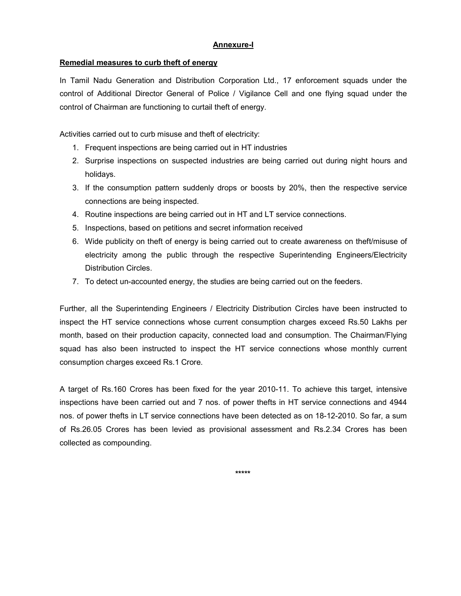### Annexure-I

### Remedial measures to curb theft of energy

In Tamil Nadu Generation and Distribution Corporation Ltd., 17 enforcement squads under the control of Additional Director General of Police / Vigilance Cell and one flying squad under the control of Chairman are functioning to curtail theft of energy.

Activities carried out to curb misuse and theft of electricity:

- 1. Frequent inspections are being carried out in HT industries
- 2. Surprise inspections on suspected industries are being carried out during night hours and holidays.
- 3. If the consumption pattern suddenly drops or boosts by 20%, then the respective service connections are being inspected.
- 4. Routine inspections are being carried out in HT and LT service connections.
- 5. Inspections, based on petitions and secret information received
- 6. Wide publicity on theft of energy is being carried out to create awareness on theft/misuse of electricity among the public through the respective Superintending Engineers/Electricity Distribution Circles.
- 7. To detect un-accounted energy, the studies are being carried out on the feeders.

Further, all the Superintending Engineers / Electricity Distribution Circles have been instructed to inspect the HT service connections whose current consumption charges exceed Rs.50 Lakhs per month, based on their production capacity, connected load and consumption. The Chairman/Flying squad has also been instructed to inspect the HT service connections whose monthly current consumption charges exceed Rs.1 Crore.

A target of Rs.160 Crores has been fixed for the year 2010-11. To achieve this target, intensive inspections have been carried out and 7 nos. of power thefts in HT service connections and 4944 nos. of power thefts in LT service connections have been detected as on 18-12-2010. So far, a sum of Rs.26.05 Crores has been levied as provisional assessment and Rs.2.34 Crores has been collected as compounding.

\*\*\*\*\*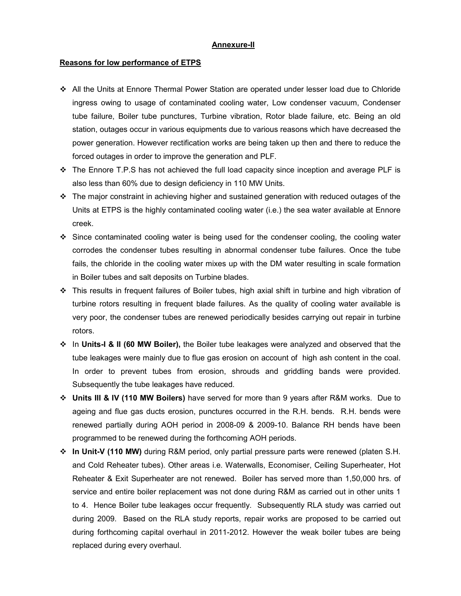#### Annexure-II

#### Reasons for low performance of ETPS

- All the Units at Ennore Thermal Power Station are operated under lesser load due to Chloride ingress owing to usage of contaminated cooling water, Low condenser vacuum, Condenser tube failure, Boiler tube punctures, Turbine vibration, Rotor blade failure, etc. Being an old station, outages occur in various equipments due to various reasons which have decreased the power generation. However rectification works are being taken up then and there to reduce the forced outages in order to improve the generation and PLF.
- $\div$  The Ennore T.P.S has not achieved the full load capacity since inception and average PLF is also less than 60% due to design deficiency in 110 MW Units.
- $\cdot \cdot$  The major constraint in achieving higher and sustained generation with reduced outages of the Units at ETPS is the highly contaminated cooling water (i.e.) the sea water available at Ennore creek.
- $\div$  Since contaminated cooling water is being used for the condenser cooling, the cooling water corrodes the condenser tubes resulting in abnormal condenser tube failures. Once the tube fails, the chloride in the cooling water mixes up with the DM water resulting in scale formation in Boiler tubes and salt deposits on Turbine blades.
- This results in frequent failures of Boiler tubes, high axial shift in turbine and high vibration of turbine rotors resulting in frequent blade failures. As the quality of cooling water available is very poor, the condenser tubes are renewed periodically besides carrying out repair in turbine rotors.
- $\div$  In Units-I & II (60 MW Boiler), the Boiler tube leakages were analyzed and observed that the tube leakages were mainly due to flue gas erosion on account of high ash content in the coal. In order to prevent tubes from erosion, shrouds and griddling bands were provided. Subsequently the tube leakages have reduced.
- Units III & IV (110 MW Boilers) have served for more than 9 years after R&M works. Due to ageing and flue gas ducts erosion, punctures occurred in the R.H. bends. R.H. bends were renewed partially during AOH period in 2008-09 & 2009-10. Balance RH bends have been programmed to be renewed during the forthcoming AOH periods.
- $\div$  In Unit-V (110 MW) during R&M period, only partial pressure parts were renewed (platen S.H. and Cold Reheater tubes). Other areas i.e. Waterwalls, Economiser, Ceiling Superheater, Hot Reheater & Exit Superheater are not renewed. Boiler has served more than 1,50,000 hrs. of service and entire boiler replacement was not done during R&M as carried out in other units 1 to 4. Hence Boiler tube leakages occur frequently. Subsequently RLA study was carried out during 2009. Based on the RLA study reports, repair works are proposed to be carried out during forthcoming capital overhaul in 2011-2012. However the weak boiler tubes are being replaced during every overhaul.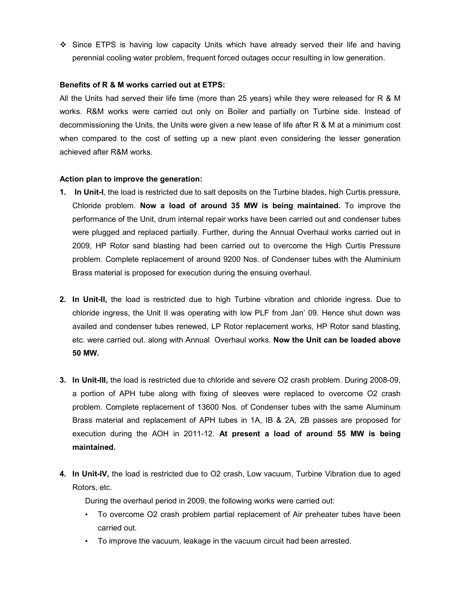Since ETPS is having low capacity Units which have already served their life and having perennial cooling water problem, frequent forced outages occur resulting in low generation.

#### Benefits of R & M works carried out at ETPS:

All the Units had served their life time (more than 25 years) while they were released for R & M works. R&M works were carried out only on Boiler and partially on Turbine side. Instead of decommissioning the Units, the Units were given a new lease of life after R & M at a minimum cost when compared to the cost of setting up a new plant even considering the lesser generation achieved after R&M works.

### Action plan to improve the generation:

- 1. In Unit-I, the load is restricted due to salt deposits on the Turbine blades, high Curtis pressure, Chloride problem. Now a load of around 35 MW is being maintained. To improve the performance of the Unit, drum internal repair works have been carried out and condenser tubes were plugged and replaced partially. Further, during the Annual Overhaul works carried out in 2009, HP Rotor sand blasting had been carried out to overcome the High Curtis Pressure problem. Complete replacement of around 9200 Nos. of Condenser tubes with the Aluminium Brass material is proposed for execution during the ensuing overhaul.
- 2. In Unit-II, the load is restricted due to high Turbine vibration and chloride ingress. Due to chloride ingress, the Unit II was operating with low PLF from Jan' 09. Hence shut down was availed and condenser tubes renewed, LP Rotor replacement works, HP Rotor sand blasting, etc. were carried out. along with Annual Overhaul works. Now the Unit can be loaded above 50 MW.
- 3. In Unit-III, the load is restricted due to chloride and severe O2 crash problem. During 2008-09, a portion of APH tube along with fixing of sleeves were replaced to overcome O2 crash problem. Complete replacement of 13600 Nos. of Condenser tubes with the same Aluminum Brass material and replacement of APH tubes in 1A, IB & 2A, 2B passes are proposed for execution during the AOH in 2011-12. At present a load of around 55 MW is being maintained.
- 4. In Unit-IV, the load is restricted due to O2 crash, Low vacuum, Turbine Vibration due to aged Rotors, etc.

During the overhaul period in 2009, the following works were carried out:

- To overcome O2 crash problem partial replacement of Air preheater tubes have been carried out.
- To improve the vacuum, leakage in the vacuum circuit had been arrested.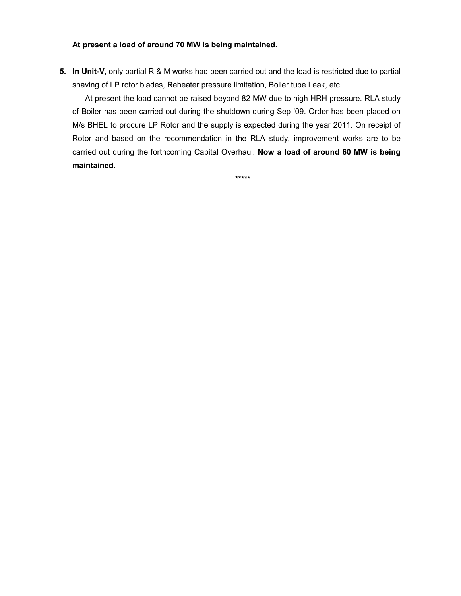#### At present a load of around 70 MW is being maintained.

5. In Unit-V, only partial R & M works had been carried out and the load is restricted due to partial shaving of LP rotor blades, Reheater pressure limitation, Boiler tube Leak, etc.

At present the load cannot be raised beyond 82 MW due to high HRH pressure. RLA study of Boiler has been carried out during the shutdown during Sep '09. Order has been placed on M/s BHEL to procure LP Rotor and the supply is expected during the year 2011. On receipt of Rotor and based on the recommendation in the RLA study, improvement works are to be carried out during the forthcoming Capital Overhaul. Now a load of around 60 MW is being maintained.

\*\*\*\*\*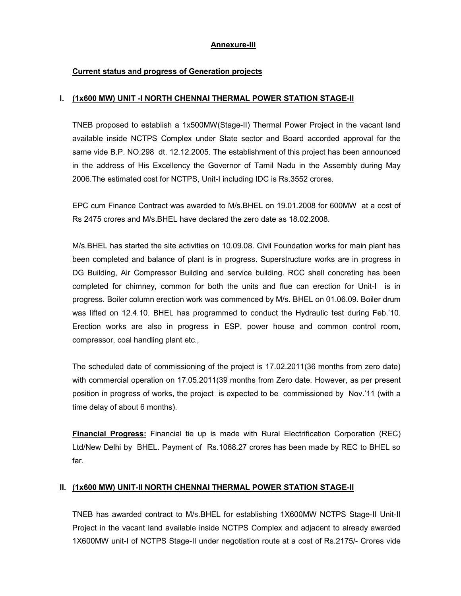## Annexure-III

## Current status and progress of Generation projects

#### I. (1x600 MW) UNIT -I NORTH CHENNAI THERMAL POWER STATION STAGE-II

TNEB proposed to establish a 1x500MW(Stage-II) Thermal Power Project in the vacant land available inside NCTPS Complex under State sector and Board accorded approval for the same vide B.P. NO.298 dt. 12.12.2005. The establishment of this project has been announced in the address of His Excellency the Governor of Tamil Nadu in the Assembly during May 2006.The estimated cost for NCTPS, Unit-I including IDC is Rs.3552 crores.

EPC cum Finance Contract was awarded to M/s.BHEL on 19.01.2008 for 600MW at a cost of Rs 2475 crores and M/s.BHEL have declared the zero date as 18.02.2008.

M/s.BHEL has started the site activities on 10.09.08. Civil Foundation works for main plant has been completed and balance of plant is in progress. Superstructure works are in progress in DG Building, Air Compressor Building and service building. RCC shell concreting has been completed for chimney, common for both the units and flue can erection for Unit-I is in progress. Boiler column erection work was commenced by M/s. BHEL on 01.06.09. Boiler drum was lifted on 12.4.10. BHEL has programmed to conduct the Hydraulic test during Feb.'10. Erection works are also in progress in ESP, power house and common control room, compressor, coal handling plant etc.,

The scheduled date of commissioning of the project is 17.02.2011(36 months from zero date) with commercial operation on 17.05.2011(39 months from Zero date. However, as per present position in progress of works, the project is expected to be commissioned by Nov.'11 (with a time delay of about 6 months).

Financial Progress: Financial tie up is made with Rural Electrification Corporation (REC) Ltd/New Delhi by BHEL. Payment of Rs.1068.27 crores has been made by REC to BHEL so far.

### II. (1x600 MW) UNIT-II NORTH CHENNAI THERMAL POWER STATION STAGE-II

TNEB has awarded contract to M/s.BHEL for establishing 1X600MW NCTPS Stage-II Unit-II Project in the vacant land available inside NCTPS Complex and adjacent to already awarded 1X600MW unit-I of NCTPS Stage-II under negotiation route at a cost of Rs.2175/- Crores vide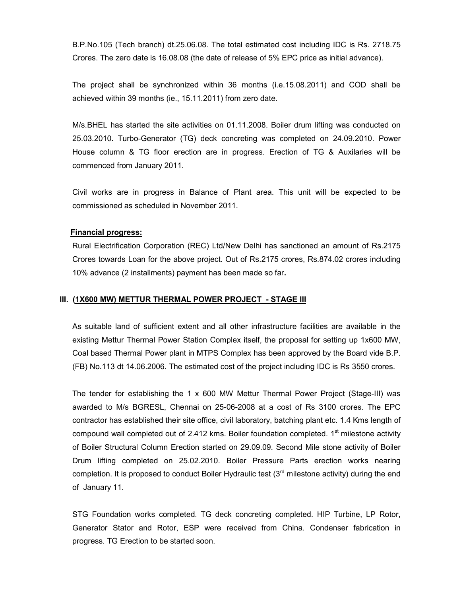B.P.No.105 (Tech branch) dt.25.06.08. The total estimated cost including IDC is Rs. 2718.75 Crores. The zero date is 16.08.08 (the date of release of 5% EPC price as initial advance).

The project shall be synchronized within 36 months (i.e.15.08.2011) and COD shall be achieved within 39 months (ie., 15.11.2011) from zero date.

M/s.BHEL has started the site activities on 01.11.2008. Boiler drum lifting was conducted on 25.03.2010. Turbo-Generator (TG) deck concreting was completed on 24.09.2010. Power House column & TG floor erection are in progress. Erection of TG & Auxilaries will be commenced from January 2011.

Civil works are in progress in Balance of Plant area. This unit will be expected to be commissioned as scheduled in November 2011.

#### Financial progress:

Rural Electrification Corporation (REC) Ltd/New Delhi has sanctioned an amount of Rs.2175 Crores towards Loan for the above project. Out of Rs.2175 crores, Rs.874.02 crores including 10% advance (2 installments) payment has been made so far.

#### III. (1X600 MW) METTUR THERMAL POWER PROJECT - STAGE III

As suitable land of sufficient extent and all other infrastructure facilities are available in the existing Mettur Thermal Power Station Complex itself, the proposal for setting up 1x600 MW, Coal based Thermal Power plant in MTPS Complex has been approved by the Board vide B.P. (FB) No.113 dt 14.06.2006. The estimated cost of the project including IDC is Rs 3550 crores.

The tender for establishing the 1 x 600 MW Mettur Thermal Power Project (Stage-III) was awarded to M/s BGRESL, Chennai on 25-06-2008 at a cost of Rs 3100 crores. The EPC contractor has established their site office, civil laboratory, batching plant etc. 1.4 Kms length of compound wall completed out of 2.412 kms. Boiler foundation completed.  $1<sup>st</sup>$  milestone activity of Boiler Structural Column Erection started on 29.09.09. Second Mile stone activity of Boiler Drum lifting completed on 25.02.2010. Boiler Pressure Parts erection works nearing completion. It is proposed to conduct Boiler Hydraulic test  $(3<sup>rd</sup>$  milestone activity) during the end of January 11.

STG Foundation works completed. TG deck concreting completed. HIP Turbine, LP Rotor, Generator Stator and Rotor, ESP were received from China. Condenser fabrication in progress. TG Erection to be started soon.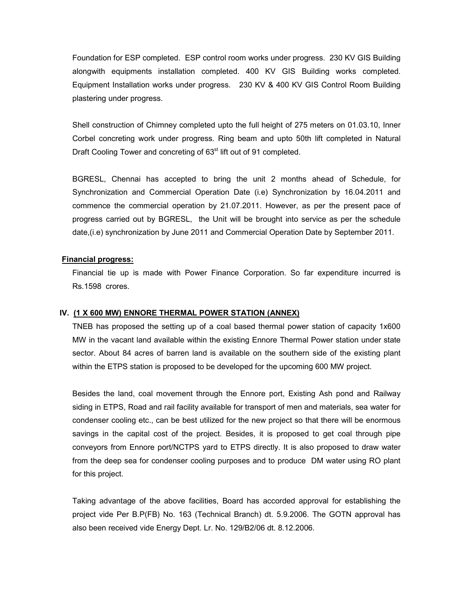Foundation for ESP completed. ESP control room works under progress. 230 KV GIS Building alongwith equipments installation completed. 400 KV GIS Building works completed. Equipment Installation works under progress. 230 KV & 400 KV GIS Control Room Building plastering under progress.

Shell construction of Chimney completed upto the full height of 275 meters on 01.03.10, Inner Corbel concreting work under progress. Ring beam and upto 50th lift completed in Natural Draft Cooling Tower and concreting of 63<sup>st</sup> lift out of 91 completed.

BGRESL, Chennai has accepted to bring the unit 2 months ahead of Schedule, for Synchronization and Commercial Operation Date (i.e) Synchronization by 16.04.2011 and commence the commercial operation by 21.07.2011. However, as per the present pace of progress carried out by BGRESL, the Unit will be brought into service as per the schedule date,(i.e) synchronization by June 2011 and Commercial Operation Date by September 2011.

### Financial progress:

Financial tie up is made with Power Finance Corporation. So far expenditure incurred is Rs.1598 crores.

### IV. (1 X 600 MW) ENNORE THERMAL POWER STATION (ANNEX)

TNEB has proposed the setting up of a coal based thermal power station of capacity 1x600 MW in the vacant land available within the existing Ennore Thermal Power station under state sector. About 84 acres of barren land is available on the southern side of the existing plant within the ETPS station is proposed to be developed for the upcoming 600 MW project.

Besides the land, coal movement through the Ennore port, Existing Ash pond and Railway siding in ETPS, Road and rail facility available for transport of men and materials, sea water for condenser cooling etc., can be best utilized for the new project so that there will be enormous savings in the capital cost of the project. Besides, it is proposed to get coal through pipe conveyors from Ennore port/NCTPS yard to ETPS directly. It is also proposed to draw water from the deep sea for condenser cooling purposes and to produce DM water using RO plant for this project.

Taking advantage of the above facilities, Board has accorded approval for establishing the project vide Per B.P(FB) No. 163 (Technical Branch) dt. 5.9.2006. The GOTN approval has also been received vide Energy Dept. Lr. No. 129/B2/06 dt. 8.12.2006.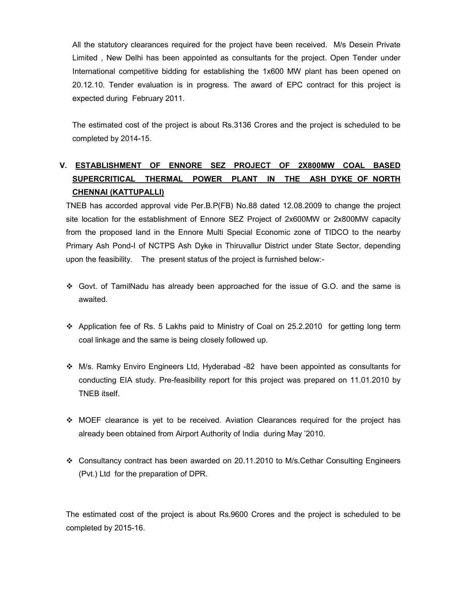All the statutory clearances required for the project have been received. M/s Desein Private Limited , New Delhi has been appointed as consultants for the project. Open Tender under International competitive bidding for establishing the 1x600 MW plant has been opened on 20.12.10. Tender evaluation is in progress. The award of EPC contract for this project is expected during February 2011.

The estimated cost of the project is about Rs.3136 Crores and the project is scheduled to be completed by 2014-15.

# V. ESTABLISHMENT OF ENNORE SEZ PROJECT OF 2X800MW COAL BASED SUPERCRITICAL THERMAL POWER PLANT IN THE ASH DYKE OF NORTH CHENNAI (KATTUPALLI)

TNEB has accorded approval vide Per.B.P(FB) No.88 dated 12.08.2009 to change the project site location for the establishment of Ennore SEZ Project of 2x600MW or 2x800MW capacity from the proposed land in the Ennore Multi Special Economic zone of TIDCO to the nearby Primary Ash Pond-I of NCTPS Ash Dyke in Thiruvallur District under State Sector, depending upon the feasibility. The present status of the project is furnished below:-

- $\div$  Govt. of TamilNadu has already been approached for the issue of G.O. and the same is awaited.
- Application fee of Rs. 5 Lakhs paid to Ministry of Coal on 25.2.2010 for getting long term coal linkage and the same is being closely followed up.
- M/s. Ramky Enviro Engineers Ltd, Hyderabad -82 have been appointed as consultants for conducting EIA study. Pre-feasibility report for this project was prepared on 11.01.2010 by TNEB itself.
- $\div$  MOEF clearance is yet to be received. Aviation Clearances required for the project has already been obtained from Airport Authority of India during May '2010.
- Consultancy contract has been awarded on 20.11.2010 to M/s.Cethar Consulting Engineers (Pvt.) Ltd for the preparation of DPR.

The estimated cost of the project is about Rs.9600 Crores and the project is scheduled to be completed by 2015-16.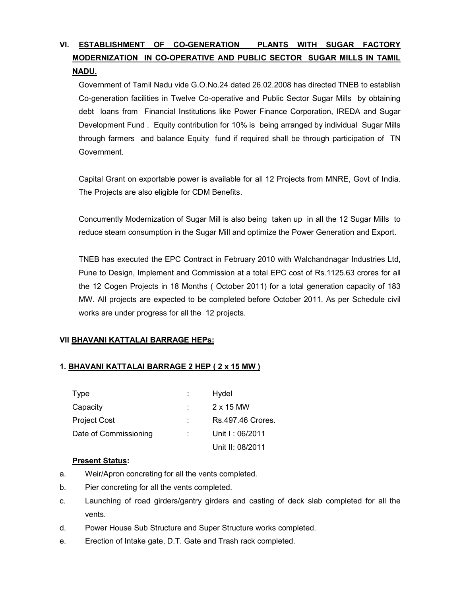# VI. ESTABLISHMENT OF CO-GENERATION PLANTS WITH SUGAR FACTORY MODERNIZATION IN CO-OPERATIVE AND PUBLIC SECTOR SUGAR MILLS IN TAMIL NADU.

Government of Tamil Nadu vide G.O.No.24 dated 26.02.2008 has directed TNEB to establish Co-generation facilities in Twelve Co-operative and Public Sector Sugar Mills by obtaining debt loans from Financial Institutions like Power Finance Corporation, IREDA and Sugar Development Fund . Equity contribution for 10% is being arranged by individual Sugar Mills through farmers and balance Equity fund if required shall be through participation of TN Government.

Capital Grant on exportable power is available for all 12 Projects from MNRE, Govt of India. The Projects are also eligible for CDM Benefits.

Concurrently Modernization of Sugar Mill is also being taken up in all the 12 Sugar Mills to reduce steam consumption in the Sugar Mill and optimize the Power Generation and Export.

TNEB has executed the EPC Contract in February 2010 with Walchandnagar Industries Ltd, Pune to Design, Implement and Commission at a total EPC cost of Rs.1125.63 crores for all the 12 Cogen Projects in 18 Months ( October 2011) for a total generation capacity of 183 MW. All projects are expected to be completed before October 2011. As per Schedule civil works are under progress for all the 12 projects.

# VII BHAVANI KATTALAI BARRAGE HEPs:

# 1. BHAVANI KATTALAI BARRAGE 2 HEP ( 2 x 15 MW )

| Type                  | Hydel             |
|-----------------------|-------------------|
| Capacity              | 2 x 15 MW         |
| <b>Project Cost</b>   | Rs.497.46 Crores. |
| Date of Commissioning | Unit I: 06/2011   |
|                       | Unit II: 08/2011  |

### Present Status:

- a. Weir/Apron concreting for all the vents completed.
- b. Pier concreting for all the vents completed.
- c. Launching of road girders/gantry girders and casting of deck slab completed for all the vents.
- d. Power House Sub Structure and Super Structure works completed.
- e. Erection of Intake gate, D.T. Gate and Trash rack completed.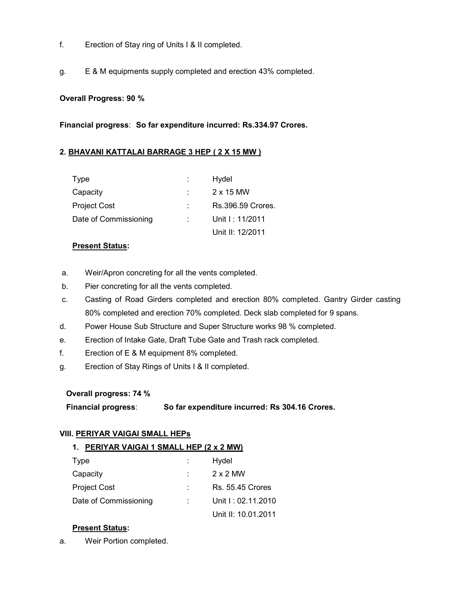- f. Erection of Stay ring of Units I & II completed.
- g. E & M equipments supply completed and erection 43% completed.

### Overall Progress: 90 %

Financial progress: So far expenditure incurred: Rs.334.97 Crores.

### 2. BHAVANI KATTALAI BARRAGE 3 HEP ( 2 X 15 MW )

| Type                  |       | Hydel             |
|-----------------------|-------|-------------------|
| Capacity              | diam. | $2 \times 15$ MW  |
| <b>Project Cost</b>   | ÷.    | Rs.396.59 Crores. |
| Date of Commissioning |       | Unit I: 11/2011   |
|                       |       | Unit II: 12/2011  |

#### Present Status:

- a. Weir/Apron concreting for all the vents completed.
- b. Pier concreting for all the vents completed.
- c. Casting of Road Girders completed and erection 80% completed. Gantry Girder casting 80% completed and erection 70% completed. Deck slab completed for 9 spans.
- d. Power House Sub Structure and Super Structure works 98 % completed.
- e. Erection of Intake Gate, Draft Tube Gate and Trash rack completed.
- f. Erection of E & M equipment 8% completed.
- g. Erection of Stay Rings of Units I & II completed.

#### Overall progress: 74 %

Financial progress: So far expenditure incurred: Rs 304.16 Crores.

### VIII. PERIYAR VAIGAI SMALL HEPs

#### 1. PERIYAR VAIGAI 1 SMALL HEP (2 x 2 MW)

| Type                  |    | Hydel                   |
|-----------------------|----|-------------------------|
| Capacity              |    | $2 \times 2$ MW         |
| <b>Project Cost</b>   | ÷. | <b>Rs. 55.45 Crores</b> |
| Date of Commissioning |    | Unit I: 02.11.2010      |
|                       |    | Unit II: 10.01.2011     |

### Present Status:

a. Weir Portion completed.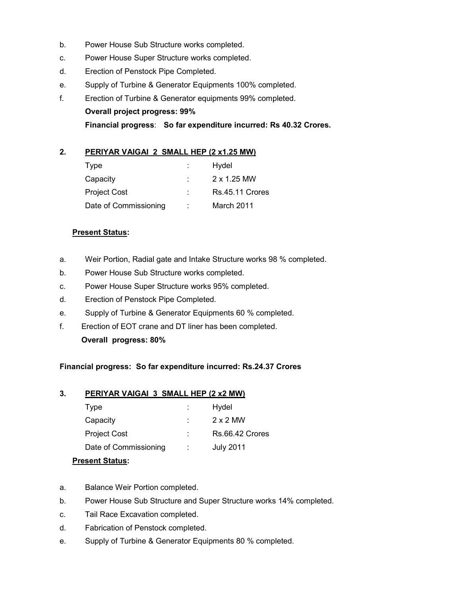- b. Power House Sub Structure works completed.
- c. Power House Super Structure works completed.
- d. Erection of Penstock Pipe Completed.
- e. Supply of Turbine & Generator Equipments 100% completed.
- f. Erection of Turbine & Generator equipments 99% completed.

Overall project progress: 99%

Financial progress: So far expenditure incurred: Rs 40.32 Crores.

## 2. PERIYAR VAIGAI 2 SMALL HEP (2 x1.25 MW)

| <b>Type</b>           |    | Hydel           |
|-----------------------|----|-----------------|
| Capacity              |    | 2 x 1.25 MW     |
| <b>Project Cost</b>   | ÷. | Rs.45.11 Crores |
| Date of Commissioning |    | March 2011      |

### **Present Status:**

- a. Weir Portion, Radial gate and Intake Structure works 98 % completed.
- b. Power House Sub Structure works completed.
- c. Power House Super Structure works 95% completed.
- d. Erection of Penstock Pipe Completed.
- e. Supply of Turbine & Generator Equipments 60 % completed.
- f. Erection of EOT crane and DT liner has been completed.

Overall progress: 80%

Financial progress: So far expenditure incurred: Rs.24.37 Crores

# 3. PERIYAR VAIGAI 3 SMALL HEP (2 x2 MW)

| Type                  | ÷ | Hydel            |
|-----------------------|---|------------------|
| Capacity              |   | 2 x 2 MW         |
| <b>Project Cost</b>   |   | Rs.66.42 Crores  |
| Date of Commissioning |   | <b>July 2011</b> |

### Present Status:

- a. Balance Weir Portion completed.
- b. Power House Sub Structure and Super Structure works 14% completed.
- c. Tail Race Excavation completed.
- d. Fabrication of Penstock completed.
- e. Supply of Turbine & Generator Equipments 80 % completed.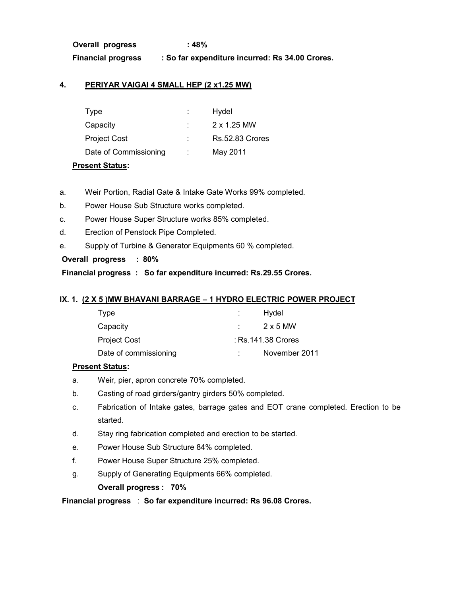Overall progress : 48% Financial progress : So far expenditure incurred: Rs 34.00 Crores.

## 4. PERIYAR VAIGAI 4 SMALL HEP (2 x1.25 MW)

| Type                  | Hydel                  |
|-----------------------|------------------------|
| Capacity              | 2 x 1.25 MW            |
| <b>Project Cost</b>   | <b>Rs.52.83 Crores</b> |
| Date of Commissioning | May 2011               |

#### Present Status:

- a. Weir Portion, Radial Gate & Intake Gate Works 99% completed.
- b. Power House Sub Structure works completed.
- c. Power House Super Structure works 85% completed.
- d. Erection of Penstock Pipe Completed.
- e. Supply of Turbine & Generator Equipments 60 % completed.

### Overall progress : 80%

Financial progress : So far expenditure incurred: Rs.29.55 Crores.

### IX. 1. (2 X 5 )MW BHAVANI BARRAGE – 1 HYDRO ELECTRIC POWER PROJECT

| Type                  | Hydel              |
|-----------------------|--------------------|
| Capacity              | 2 x 5 MW           |
| Project Cost          | : Rs.141.38 Crores |
| Date of commissioning | November 2011      |

### **Present Status:**

- a. Weir, pier, apron concrete 70% completed.
- b. Casting of road girders/gantry girders 50% completed.
- c. Fabrication of Intake gates, barrage gates and EOT crane completed. Erection to be started.
- d. Stay ring fabrication completed and erection to be started.
- e. Power House Sub Structure 84% completed.
- f. Power House Super Structure 25% completed.
- g. Supply of Generating Equipments 66% completed.

Overall progress : 70%

Financial progress : So far expenditure incurred: Rs 96.08 Crores.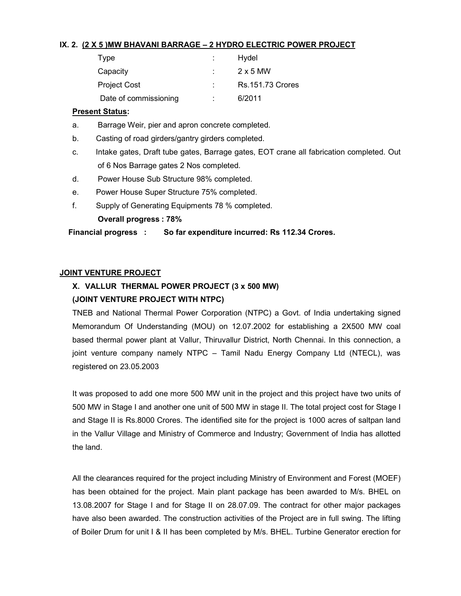### IX. 2. (2 X 5 )MW BHAVANI BARRAGE – 2 HYDRO ELECTRIC POWER PROJECT

| Type                  | Hydel                   |
|-----------------------|-------------------------|
| Capacity              | $2 \times 5$ MW         |
| <b>Project Cost</b>   | <b>Rs.151.73 Crores</b> |
| Date of commissioning | 6/2011                  |

## Present Status:

- a. Barrage Weir, pier and apron concrete completed.
- b. Casting of road girders/gantry girders completed.
- c. Intake gates, Draft tube gates, Barrage gates, EOT crane all fabrication completed. Out of 6 Nos Barrage gates 2 Nos completed.
- d. Power House Sub Structure 98% completed.
- e. Power House Super Structure 75% completed.
- f. Supply of Generating Equipments 78 % completed.

Overall progress : 78%

Financial progress : So far expenditure incurred: Rs 112.34 Crores.

## JOINT VENTURE PROJECT

# X. VALLUR THERMAL POWER PROJECT (3 x 500 MW) (JOINT VENTURE PROJECT WITH NTPC)

TNEB and National Thermal Power Corporation (NTPC) a Govt. of India undertaking signed Memorandum Of Understanding (MOU) on 12.07.2002 for establishing a 2X500 MW coal based thermal power plant at Vallur, Thiruvallur District, North Chennai. In this connection, a joint venture company namely NTPC – Tamil Nadu Energy Company Ltd (NTECL), was registered on 23.05.2003

It was proposed to add one more 500 MW unit in the project and this project have two units of 500 MW in Stage I and another one unit of 500 MW in stage II. The total project cost for Stage I and Stage II is Rs.8000 Crores. The identified site for the project is 1000 acres of saltpan land in the Vallur Village and Ministry of Commerce and Industry; Government of India has allotted the land.

All the clearances required for the project including Ministry of Environment and Forest (MOEF) has been obtained for the project. Main plant package has been awarded to M/s. BHEL on 13.08.2007 for Stage I and for Stage II on 28.07.09. The contract for other major packages have also been awarded. The construction activities of the Project are in full swing. The lifting of Boiler Drum for unit I & II has been completed by M/s. BHEL. Turbine Generator erection for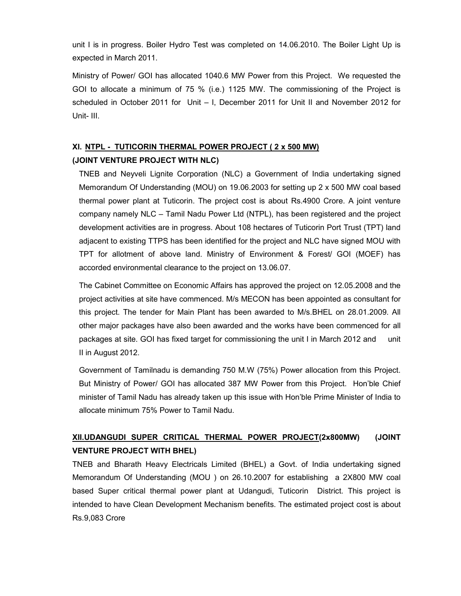unit I is in progress. Boiler Hydro Test was completed on 14.06.2010. The Boiler Light Up is expected in March 2011.

Ministry of Power/ GOI has allocated 1040.6 MW Power from this Project. We requested the GOI to allocate a minimum of 75 % (i.e.) 1125 MW. The commissioning of the Project is scheduled in October 2011 for Unit – I, December 2011 for Unit II and November 2012 for Unit- III.

# XI. NTPL - TUTICORIN THERMAL POWER PROJECT ( 2 x 500 MW)

# (JOINT VENTURE PROJECT WITH NLC)

TNEB and Neyveli Lignite Corporation (NLC) a Government of India undertaking signed Memorandum Of Understanding (MOU) on 19.06.2003 for setting up 2 x 500 MW coal based thermal power plant at Tuticorin. The project cost is about Rs.4900 Crore. A joint venture company namely NLC – Tamil Nadu Power Ltd (NTPL), has been registered and the project development activities are in progress. About 108 hectares of Tuticorin Port Trust (TPT) land adjacent to existing TTPS has been identified for the project and NLC have signed MOU with TPT for allotment of above land. Ministry of Environment & Forest/ GOI (MOEF) has accorded environmental clearance to the project on 13.06.07.

The Cabinet Committee on Economic Affairs has approved the project on 12.05.2008 and the project activities at site have commenced. M/s MECON has been appointed as consultant for this project. The tender for Main Plant has been awarded to M/s.BHEL on 28.01.2009. All other major packages have also been awarded and the works have been commenced for all packages at site. GOI has fixed target for commissioning the unit I in March 2012 and unit II in August 2012.

Government of Tamilnadu is demanding 750 M.W (75%) Power allocation from this Project. But Ministry of Power/ GOI has allocated 387 MW Power from this Project. Hon'ble Chief minister of Tamil Nadu has already taken up this issue with Hon'ble Prime Minister of India to allocate minimum 75% Power to Tamil Nadu.

# XII.UDANGUDI SUPER CRITICAL THERMAL POWER PROJECT(2x800MW) (JOINT VENTURE PROJECT WITH BHEL)

TNEB and Bharath Heavy Electricals Limited (BHEL) a Govt. of India undertaking signed Memorandum Of Understanding (MOU ) on 26.10.2007 for establishing a 2X800 MW coal based Super critical thermal power plant at Udangudi, Tuticorin District. This project is intended to have Clean Development Mechanism benefits. The estimated project cost is about Rs.9,083 Crore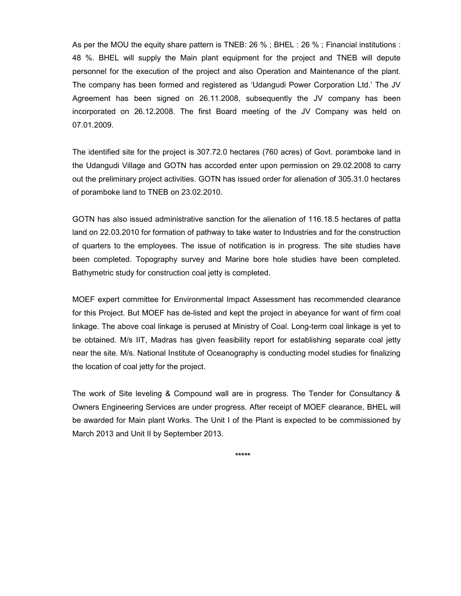As per the MOU the equity share pattern is TNEB: 26 % ; BHEL : 26 % ; Financial institutions : 48 %. BHEL will supply the Main plant equipment for the project and TNEB will depute personnel for the execution of the project and also Operation and Maintenance of the plant. The company has been formed and registered as 'Udangudi Power Corporation Ltd.' The JV Agreement has been signed on 26.11.2008, subsequently the JV company has been incorporated on 26.12.2008. The first Board meeting of the JV Company was held on 07.01.2009.

The identified site for the project is 307.72.0 hectares (760 acres) of Govt. poramboke land in the Udangudi Village and GOTN has accorded enter upon permission on 29.02.2008 to carry out the preliminary project activities. GOTN has issued order for alienation of 305.31.0 hectares of poramboke land to TNEB on 23.02.2010.

GOTN has also issued administrative sanction for the alienation of 116.18.5 hectares of patta land on 22.03.2010 for formation of pathway to take water to Industries and for the construction of quarters to the employees. The issue of notification is in progress. The site studies have been completed. Topography survey and Marine bore hole studies have been completed. Bathymetric study for construction coal jetty is completed.

MOEF expert committee for Environmental Impact Assessment has recommended clearance for this Project. But MOEF has de-listed and kept the project in abeyance for want of firm coal linkage. The above coal linkage is perused at Ministry of Coal. Long-term coal linkage is yet to be obtained. M/s IIT, Madras has given feasibility report for establishing separate coal jetty near the site. M/s. National Institute of Oceanography is conducting model studies for finalizing the location of coal jetty for the project.

The work of Site leveling & Compound wall are in progress. The Tender for Consultancy & Owners Engineering Services are under progress. After receipt of MOEF clearance, BHEL will be awarded for Main plant Works. The Unit I of the Plant is expected to be commissioned by March 2013 and Unit II by September 2013.

\*\*\*\*\*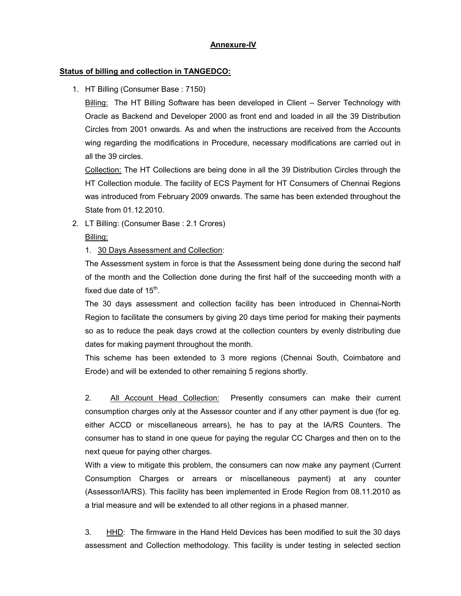### Annexure-IV

## Status of billing and collection in TANGEDCO:

1. HT Billing (Consumer Base : 7150)

**Billing:** The HT Billing Software has been developed in Client – Server Technology with Oracle as Backend and Developer 2000 as front end and loaded in all the 39 Distribution Circles from 2001 onwards. As and when the instructions are received from the Accounts wing regarding the modifications in Procedure, necessary modifications are carried out in all the 39 circles.

Collection: The HT Collections are being done in all the 39 Distribution Circles through the HT Collection module. The facility of ECS Payment for HT Consumers of Chennai Regions was introduced from February 2009 onwards. The same has been extended throughout the State from 01.12.2010.

2. LT Billing: (Consumer Base : 2.1 Crores)

Billing:

# 1. 30 Days Assessment and Collection:

The Assessment system in force is that the Assessment being done during the second half of the month and the Collection done during the first half of the succeeding month with a fixed due date of  $15^{\text{th}}$ .

The 30 days assessment and collection facility has been introduced in Chennai-North Region to facilitate the consumers by giving 20 days time period for making their payments so as to reduce the peak days crowd at the collection counters by evenly distributing due dates for making payment throughout the month.

This scheme has been extended to 3 more regions (Chennai South, Coimbatore and Erode) and will be extended to other remaining 5 regions shortly.

2. All Account Head Collection: Presently consumers can make their current consumption charges only at the Assessor counter and if any other payment is due (for eg. either ACCD or miscellaneous arrears), he has to pay at the IA/RS Counters. The consumer has to stand in one queue for paying the regular CC Charges and then on to the next queue for paying other charges.

With a view to mitigate this problem, the consumers can now make any payment (Current Consumption Charges or arrears or miscellaneous payment) at any counter (Assessor/IA/RS). This facility has been implemented in Erode Region from 08.11.2010 as a trial measure and will be extended to all other regions in a phased manner.

3. HHD: The firmware in the Hand Held Devices has been modified to suit the 30 days assessment and Collection methodology. This facility is under testing in selected section